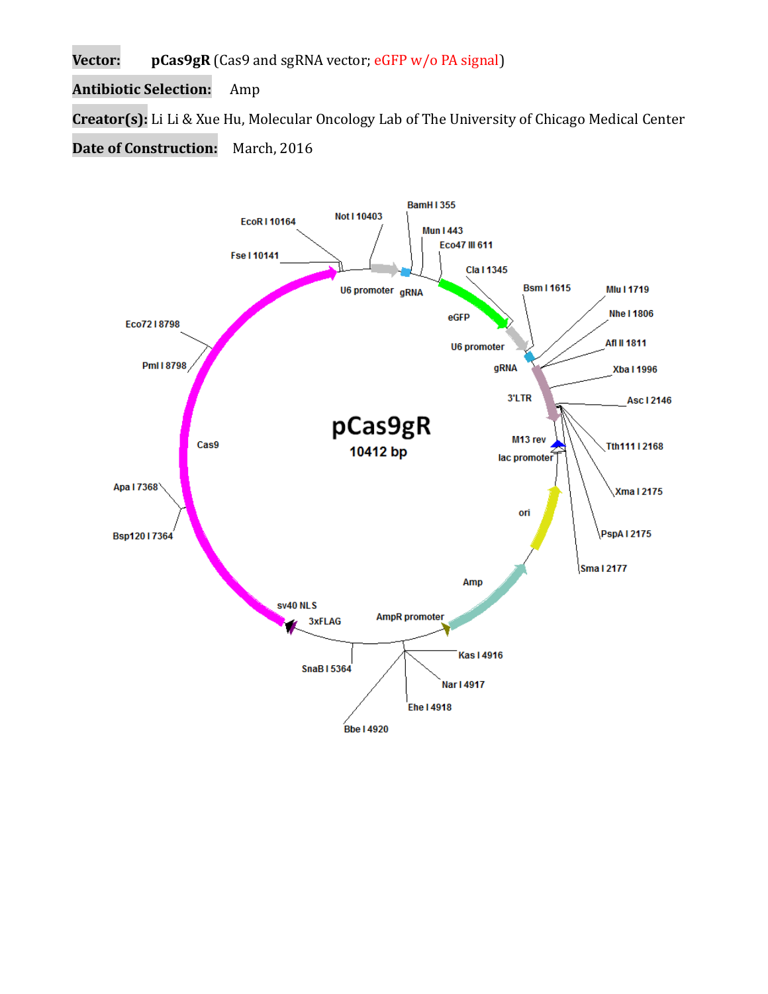**Vector: pCas9gR** (Cas9 and sgRNA vector; eGFP w/o PA signal)

**Antibiotic Selection:** Amp

**Creator(s):** Li Li & Xue Hu, Molecular Oncology Lab of The University of Chicago Medical Center

**Date of Construction:** March, 2016

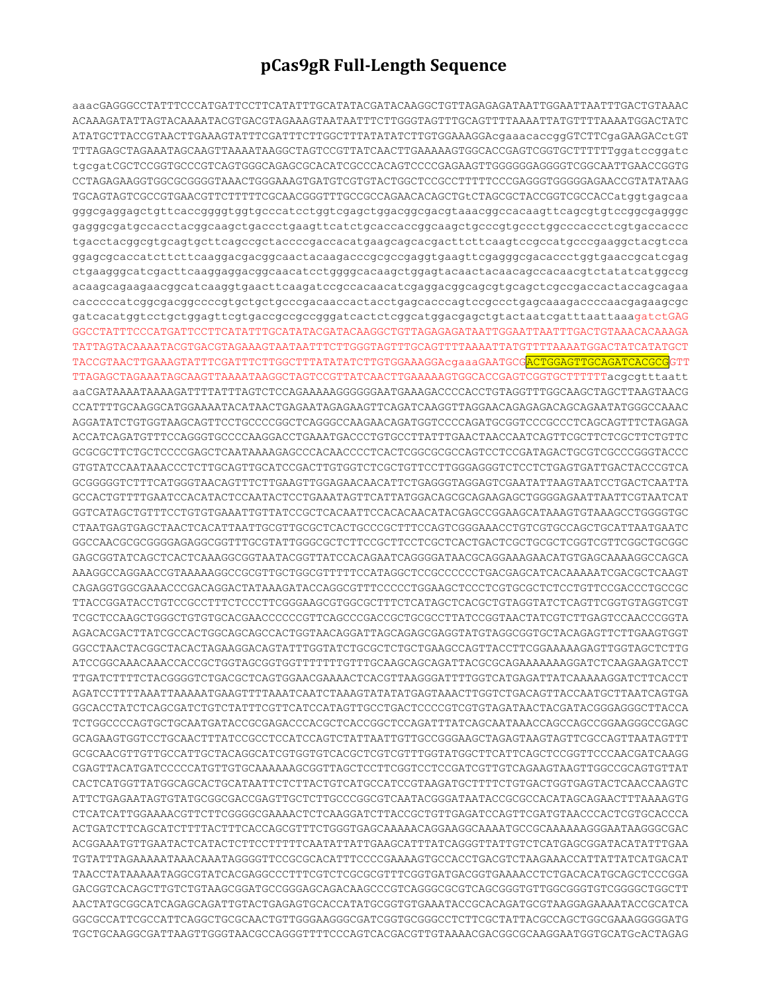## **pCas9gR Full-Length Sequence**

aaacGAGGGCCTATTTCCCATGATTCCTTCATATTTGCATATACGATACAAGGCTGTTAGAGAGATAATTGGAATTAATTTGACTGTAAAC ACAAAGATATTAGTACAAAATACGTGACGTAGAAAGTAATAATTTCTTGGGTAGTTTGCAGTTTTAAAATTATGTTTTAAAATGGACTATC ATATGCTTACCGTAACTTGAAAGTATTTCGATTTCTTGGCTTTATATATCTTGTGGAAAGGAcgaaacaccggGTCTTCgaGAAGACctGT TTTAGAGCTAGAAATAGCAAGTTAAAATAAGGCTAGTCCGTTATCAACTTGAAAAAGTGGCACCGAGTCGGTGCTTTTTTggatccggatc tgcgatCGCTCCGGTGCCCGTCAGTGGGCAGAGCGCACATCGCCCACAGTCCCCGAGAAGTTGGGGGGAGGGGTCGGCAATTGAACCGGTG CCTAGAGAAGGTGGCGCGGGGTAAACTGGGAAAGTGATGTCGTGTACTGGCTCCGCCTTTTTCCCGAGGGTGGGGGAGAACCGTATATAAG TGCAGTAGTCGCCGTGAACGTTCTTTTTCGCAACGGGTTTGCCGCCAGAACACAGCTGtCTAGCGCTACCGGTCGCCACCatggtgagcaa gggcgaggagctgttcaccggggtggtgcccatcctggtcgagctggacggcgacgtaaacggccacaagttcagcgtgtccggcgagggc gagggcgatgccacctacggcaagctgaccctgaagttcatctgcaccaccggcaagctgcccgtgccctggcccaccctcgtgaccaccc tgacctacggcgtgcagtgcttcagccgctaccccgaccacatgaagcagcacgacttcttcaagtccgccatgcccgaaggctacgtcca ggagcgcaccatcttcttcaaggacgacggcaactacaagacccgcgccgaggtgaagttcgagggcgacaccctggtgaaccgcatcgag ctgaagggcatcgacttcaaggaggacggcaacatcctggggcacaagctggagtacaactacaacagccacaacgtctatatcatggccg acaagcagaagaacggcatcaaggtgaacttcaagatccgccacaacatcgaggacggcagcgtgcagctcgccgaccactaccagcagaa cacccccatcggcgacggccccgtgctgctgcccgacaaccactacctgagcacccagtccgccctgagcaaagaccccaacgagaagcgc gatcacatggtcctgctggagttcgtgaccgccgccgggatcactctcggcatggacgagctgtactaatcgatttaattaaagatctGAG GGCCTATTTCCCATGATTCCTTCATATTTGCATATACGATACAAGGCTGTTAGAGAGATAATTGGAATTAATTTGACTGTAAACACAAAGA TATTAGTACAAAATACGTGACGTAGAAAGTAATAATTTCTTGGGTAGTTTGCAGTTTTAAAATTATGTTTTAAAATGGACTATCATATGCT TACCGTAACTTGAAAGTATTTCGATTTCTTGGCTTTATATATCTTGTGGAAAGGAcgaaaGAATGCGACTGGAGTTGCAGATCACGCGGTT TTAGAGCTAGAAATAGCAAGTTAAAATAAGGCTAGTCCGTTATCAACTTGAAAAAGTGGCACCGAGTCGGTGCTTTTTTacgcgtttaatt aaCGATAAAATAAAAGATTTTATTTAGTCTCCAGAAAAAGGGGGGAATGAAAGACCCCACCTGTAGGTTTGGCAAGCTAGCTTAAGTAACG CCATTTTGCAAGGCATGGAAAATACATAACTGAGAATAGAGAAGTTCAGATCAAGGTTAGGAACAGAGAGACAGCAGAATATGGGCCAAAC AGGATATCTGTGGTAAGCAGTTCCTGCCCCGGCTCAGGGCCAAGAACAGATGGTCCCCAGATGCGGTCCCGCCCTCAGCAGTTTCTAGAGA ACCATCAGATGTTTCCAGGGTGCCCCAAGGACCTGAAATGACCCTGTGCCTTATTTGAACTAACCAATCAGTTCGCTTCTCGCTTCTGTTC GCGCGCTTCTGCTCCCCGAGCTCAATAAAAGAGCCCACAACCCCTCACTCGGCGCGCCAGTCCTCCGATAGACTGCGTCGCCCGGGTACCC GTGTATCCAATAAACCCTCTTGCAGTTGCATCCGACTTGTGGTCTCGCTGTTCCTTGGGAGGGTCTCCTCTGAGTGATTGACTACCCGTCA GCGGGGGTCTTTCATGGGTAACAGTTTCTTGAAGTTGGAGAACAACATTCTGAGGGTAGGAGTCGAATATTAAGTAATCCTGACTCAATTA GCCACTGTTTTGAATCCACATACTCCAATACTCCTGAAATAGTTCATTATGGACAGCGCAGAAGAGCTGGGGAGAATTAATTCGTAATCAT GGTCATAGCTGTTTCCTGTGTGAAATTGTTATCCGCTCACAATTCCACACAACATACGAGCCGGAAGCATAAAGTGTAAAGCCTGGGGTGC CTAATGAGTGAGCTAACTCACATTAATTGCGTTGCGCTCACTGCCCGCTTTCCAGTCGGGAAACCTGTCGTGCCAGCTGCATTAATGAATC GGCCAACGCGCGGGGAGAGGCGGTTTGCGTATTGGGCGCTCTTCCGCTTCCTCGCTCACTGACTCGCTGCGCTCGGTCGTTCGGCTGCGGC GAGCGGTATCAGCTCACTCAAAGGCGGTAATACGGTTATCCACAGAATCAGGGGATAACGCAGGAAAGAACATGTGAGCAAAAGGCCAGCA AAAGGCCAGGAACCGTAAAAAGGCCGCGTTGCTGGCGTTTTTCCATAGGCTCCGCCCCCCTGACGAGCATCACAAAAATCGACGCTCAAGT CAGAGGTGGCGAAACCCGACAGGACTATAAAGATACCAGGCGTTTCCCCCTGGAAGCTCCCTCGTGCGCTCTCCTGTTCCGACCCTGCCGC TTACCGGATACCTGTCCGCCTTTCTCCCTTCGGGAAGCGTGGCGCTTTCTCATAGCTCACGCTGTAGGTATCTCAGTTCGGTGTAGGTCGT TCGCTCCAAGCTGGGCTGTGTGCACGAACCCCCCGTTCAGCCCGACCGCTGCGCCTTATCCGGTAACTATCGTCTTGAGTCCAACCCGGTA AGACACGACTTATCGCCACTGGCAGCAGCCACTGGTAACAGGATTAGCAGAGCGAGGTATGTAGGCGGTGCTACAGAGTTCTTGAAGTGGT GGCCTAACTACGGCTACACTAGAAGGACAGTATTTGGTATCTGCGCTCTGCTGAAGCCAGTTACCTTCGGAAAAAGAGTTGGTAGCTCTTG ATCCGGCAAACAAACCACCGCTGGTAGCGGTGGTTTTTTTGTTTGCAAGCAGCAGATTACGCGCAGAAAAAAAGGATCTCAAGAAGATCCT TTGATCTTTTCTACGGGGTCTGACGCTCAGTGGAACGAAAACTCACGTTAAGGGATTTTGGTCATGAGATTATCAAAAAGGATCTTCACCT AGATCCTTTTAAATTAAAAATGAAGTTTTAAATCAATCTAAAGTATATATGAGTAAACTTGGTCTGACAGTTACCAATGCTTAATCAGTGA GGCACCTATCTCAGCGATCTGTCTATTTCGTTCATCCATAGTTGCCTGACTCCCCGTCGTGTAGATAACTACGATACGGGAGGGCTTACCA TCTGGCCCCAGTGCTGCAATGATACCGCGAGACCCACGCTCACCGGCTCCAGATTTATCAGCAATAAACCAGCCAGCCGGAAGGGCCGAGC GCAGAAGTGGTCCTGCAACTTTATCCGCCTCCATCCAGTCTATTAATTGTTGCCGGGAAGCTAGAGTAAGTAGTTCGCCAGTTAATAGTTT GCGCAACGTTGTTGCCATTGCTACAGGCATCGTGGTGTCACGCTCGTCGTTTGGTATGGCTTCATTCAGCTCCGGTTCCCAACGATCAAGG CGAGTTACATGATCCCCCATGTTGTGCAAAAAAGCGGTTAGCTCCTTCGGTCCTCCGATCGTTGTCAGAAGTAAGTTGGCCGCAGTGTTAT CACTCATGGTTATGGCAGCACTGCATAATTCTCTTACTGTCATGCCATCCGTAAGATGCTTTTCTGTGACTGGTGAGTACTCAACCAAGTC ATTCTGAGAATAGTGTATGCGGCGACCGAGTTGCTCTTGCCCGGCGTCAATACGGGATAATACCGCGCCACATAGCAGAACTTTAAAAGTG CTCATCATTGGAAAACGTTCTTCGGGGCGAAAACTCTCAAGGATCTTACCGCTGTTGAGATCCAGTTCGATGTAACCCACTCGTGCACCCA ACTGATCTTCAGCATCTTTTACTTTCACCAGCGTTTCTGGGTGAGCAAAAACAGGAAGGCAAAATGCCGCAAAAAAGGGAATAAGGGCGAC ACGGAAATGTTGAATACTCATACTCTTCCTTTTTCAATATTATTGAAGCATTTATCAGGGTTATTGTCTCATGAGCGGATACATATTTGAA TGTATTTAGAAAAATAAACAAATAGGGGTTCCGCGCACATTTCCCCGAAAAGTGCCACCTGACGTCTAAGAAACCATTATTATCATGACAT TAACCTATAAAAATAGGCGTATCACGAGGCCCTTTCGTCTCGCGCGTTTCGGTGATGACGGTGAAAACCTCTGACACATGCAGCTCCCGGA GACGGTCACAGCTTGTCTGTAAGCGGATGCCGGGAGCAGACAAGCCCGTCAGGGCGCGTCAGCGGGTGTTGGCGGGTGTCGGGGCTGGCTT AACTATGCGGCATCAGAGCAGATTGTACTGAGAGTGCACCATATGCGGTGTGAAATACCGCACAGATGCGTAAGGAGAAAATACCGCATCA GGCGCCATTCGCCATTCAGGCTGCGCAACTGTTGGGAAGGGCGATCGGTGCGGGCCTCTTCGCTATTACGCCAGCTGGCGAAAGGGGGATG TGCTGCAAGGCGATTAAGTTGGGTAACGCCAGGGTTTTCCCAGTCACGACGTTGTAAAACGACGGCGCAAGGAATGGTGCATGcACTAGAG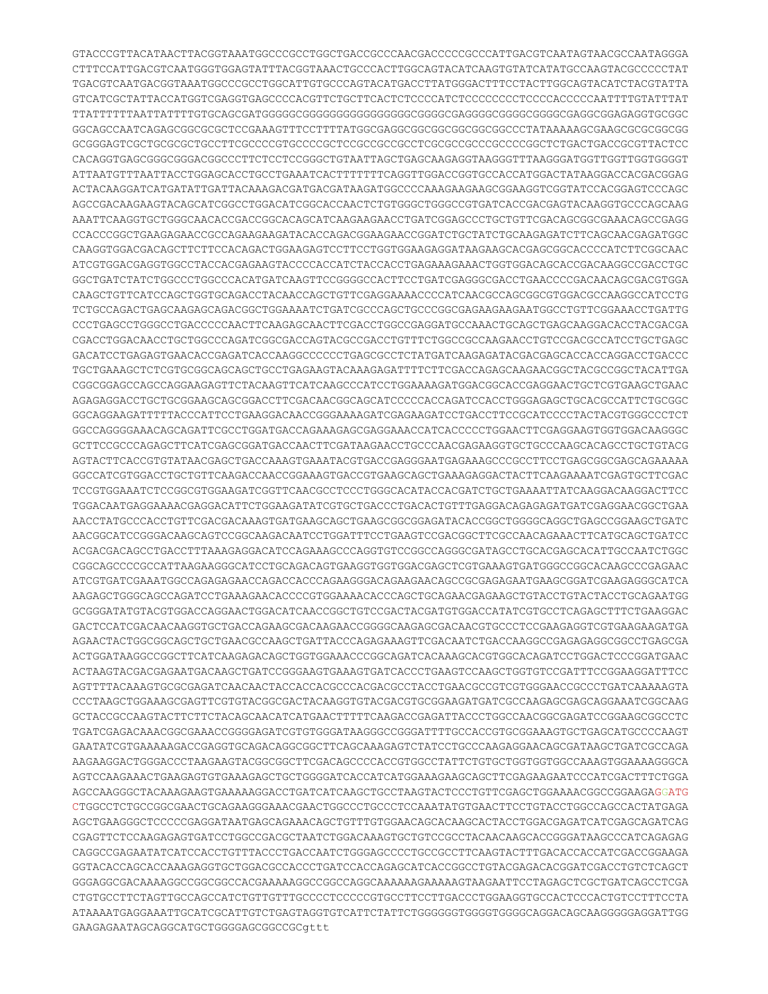GTACCCGTTACATAACTTACGGTAAATGGCCCGCCTGGCTGACCGCCCAACGACCCCCGCCCATTGACGTCAATAGTAACGCCAATAGGGA CTTTCCATTGACGTCAATGGGTGGAGTATTTACGGTAAACTGCCCACTTGGCAGTACATCAAGTGTATCATATGCCAAGTACGCCCCCTAT TGACGTCAATGACGGTAAATGGCCCGCCTGGCATTGTGCCCAGTACATGACCTTATGGGACTTTCCTACTTGGCAGTACATCTACGTATTA GTCATCGCTATTACCATGGTCGAGGTGAGCCCCACGTTCTGCTTCACTCTCCCCATCTCCCCCCCCTCCCCACCCCCAATTTTGTATTTAT TTATTTTTTAATTATTTTGTGCAGCGATGGGGGCGGGGGGGGGGGGGGGGCGGGGCGAGGGGCGGGGCGGGGCGAGGCGGAGAGGTGCGGC GGCAGCCAATCAGAGCGGCGCGCTCCGAAAGTTTCCTTTTATGGCGAGGCGGCGGCGGCGGCGGCCCTATAAAAAGCGAAGCGCGCGGCGG GCGGGAGTCGCTGCGCGCTGCCTTCGCCCCGTGCCCCGCTCCGCCGCCGCCTCGCGCCGCCCGCCCCGGCTCTGACTGACCGCGTTACTCC CACAGGTGAGCGGGCGGGACGGCCCTTCTCCTCCGGGCTGTAATTAGCTGAGCAAGAGGTAAGGGTTTAAGGGATGGTTGGTTGGTGGGGT ATTAATGTTTAATTACCTGGAGCACCTGCCTGAAATCACTTTTTTTCAGGTTGGACCGGTGCCACCATGGACTATAAGGACCACGACGGAG ACTACAAGGATCATGATATTGATTACAAAGACGATGACGATAAGATGGCCCCAAAGAAGAAGCGGAAGGTCGGTATCCACGGAGTCCCAGC AGCCGACAAGAAGTACAGCATCGGCCTGGACATCGGCACCAACTCTGTGGGCTGGGCCGTGATCACCGACGAGTACAAGGTGCCCAGCAAG AAATTCAAGGTGCTGGGCAACACCGACCGGCACAGCATCAAGAAGAACCTGATCGGAGCCCTGCTGTTCGACAGCGGCGAAACAGCCGAGG CCACCCGGCTGAAGAGAACCGCCAGAAGAAGATACACCAGACGGAAGAACCGGATCTGCTATCTGCAAGAGATCTTCAGCAACGAGATGGC CAAGGTGGACGACAGCTTCTTCCACAGACTGGAAGAGTCCTTCCTGGTGGAAGAGGATAAGAAGCACGAGCGGCACCCCATCTTCGGCAAC ATCGTGGACGAGGTGGCCTACCACGAGAAGTACCCCACCATCTACCACCTGAGAAAGAAACTGGTGGACAGCACCGACAAGGCCGACCTGC GGCTGATCTATCTGGCCCTGGCCCACATGATCAAGTTCCGGGGCCACTTCCTGATCGAGGGCGACCTGAACCCCGACAACAGCGACGTGGA CAAGCTGTTCATCCAGCTGGTGCAGACCTACAACCAGCTGTTCGAGGAAAACCCCATCAACGCCAGCGGCGTGGACGCCAAGGCCATCCTG TCTGCCAGACTGAGCAAGAGCAGACGGCTGGAAAATCTGATCGCCCAGCTGCCCGGCGAGAAGAAGAATGGCCTGTTCGGAAACCTGATTG CCCTGAGCCTGGGCCTGACCCCCAACTTCAAGAGCAACTTCGACCTGGCCGAGGATGCCAAACTGCAGCTGAGCAAGGACACCTACGACGA CGACCTGGACAACCTGCTGGCCCAGATCGGCGACCAGTACGCCGACCTGTTTCTGGCCGCCAAGAACCTGTCCGACGCCATCCTGCTGAGC GACATCCTGAGAGTGAACACCGAGATCACCAAGGCCCCCCTGAGCGCCTCTATGATCAAGAGATACGACGAGCACCACCAGGACCTGACCC TGCTGAAAGCTCTCGTGCGGCAGCAGCTGCCTGAGAAGTACAAAGAGATTTTCTTCGACCAGAGCAAGAACGGCTACGCCGGCTACATTGA CGGCGGAGCCAGCCAGGAAGAGTTCTACAAGTTCATCAAGCCCATCCTGGAAAAGATGGACGGCACCGAGGAACTGCTCGTGAAGCTGAAC AGAGAGGACCTGCTGCGGAAGCAGCGGACCTTCGACAACGGCAGCATCCCCCACCAGATCCACCTGGGAGAGCTGCACGCCATTCTGCGGC GGCAGGAAGATTTTTACCCATTCCTGAAGGACAACCGGGAAAAGATCGAGAAGATCCTGACCTTCCGCATCCCCTACTACGTGGGCCCTCT GGCCAGGGGAAACAGCAGATTCGCCTGGATGACCAGAAAGAGCGAGGAAACCATCACCCCCTGGAACTTCGAGGAAGTGGTGGACAAGGGC GCTTCCGCCCAGAGCTTCATCGAGCGGATGACCAACTTCGATAAGAACCTGCCCAACGAGAAGGTGCTGCCCAAGCACAGCCTGCTGTACG AGTACTTCACCGTGTATAACGAGCTGACCAAAGTGAAATACGTGACCGAGGGAATGAGAAAGCCCGCCTTCCTGAGCGGCGAGCAGAAAAA GGCCATCGTGGACCTGCTGTTCAAGACCAACCGGAAAGTGACCGTGAAGCAGCTGAAAGAGGACTACTTCAAGAAAATCGAGTGCTTCGAC TCCGTGGAAATCTCCGGCGTGGAAGATCGGTTCAACGCCTCCCTGGGCACATACCACGATCTGCTGAAAATTATCAAGGACAAGGACTTCC TGGACAATGAGGAAAACGAGGACATTCTGGAAGATATCGTGCTGACCCTGACACTGTTTGAGGACAGAGAGATGATCGAGGAACGGCTGAA AACCTATGCCCACCTGTTCGACGACAAAGTGATGAAGCAGCTGAAGCGGCGGAGATACACCGGCTGGGGCAGGCTGAGCCGGAAGCTGATC AACGGCATCCGGGACAAGCAGTCCGGCAAGACAATCCTGGATTTCCTGAAGTCCGACGGCTTCGCCAACAGAAACTTCATGCAGCTGATCC ACGACGACAGCCTGACCTTTAAAGAGGACATCCAGAAAGCCCAGGTGTCCGGCCAGGGCGATAGCCTGCACGAGCACATTGCCAATCTGGC CGGCAGCCCCGCCATTAAGAAGGGCATCCTGCAGACAGTGAAGGTGGTGGACGAGCTCGTGAAAGTGATGGGCCGGCACAAGCCCGAGAAC ATCGTGATCGAAATGGCCAGAGAGAACCAGACCACCCAGAAGGGACAGAAGAACAGCCGCGAGAGAATGAAGCGGATCGAAGAGGGCATCA AAGAGCTGGGCAGCCAGATCCTGAAAGAACACCCCGTGGAAAACACCCAGCTGCAGAACGAGAAGCTGTACCTGTACTACCTGCAGAATGG GCGGGATATGTACGTGGACCAGGAACTGGACATCAACCGGCTGTCCGACTACGATGTGGACCATATCGTGCCTCAGAGCTTTCTGAAGGAC GACTCCATCGACAACAAGGTGCTGACCAGAAGCGACAAGAACCGGGGCAAGAGCGACAACGTGCCCTCCGAAGAGGTCGTGAAGAAGATGA AGAACTACTGGCGGCAGCTGCTGAACGCCAAGCTGATTACCCAGAGAAAGTTCGACAATCTGACCAAGGCCGAGAGAGGCGGCCTGAGCGA ACTGGATAAGGCCGGCTTCATCAAGAGACAGCTGGTGGAAACCCGGCAGATCACAAAGCACGTGGCACAGATCCTGGACTCCCGGATGAAC ACTAAGTACGACGAGAATGACAAGCTGATCCGGGAAGTGAAAGTGATCACCCTGAAGTCCAAGCTGGTGTCCGATTTCCGGAAGGATTTCC AGTTTTACAAAGTGCGCGAGATCAACAACTACCACCACGCCCACGACGCCTACCTGAACGCCGTCGTGGGAACCGCCCTGATCAAAAAGTA CCCTAAGCTGGAAAGCGAGTTCGTGTACGGCGACTACAAGGTGTACGACGTGCGGAAGATGATCGCCAAGAGCGAGCAGGAAATCGGCAAG GCTACCGCCAAGTACTTCTTCTACAGCAACATCATGAACTTTTTCAAGACCGAGATTACCCTGGCCAACGGCGAGATCCGGAAGCGGCCTC TGATCGAGACAAACGGCGAAACCGGGGAGATCGTGTGGGATAAGGGCCGGGATTTTGCCACCGTGCGGAAAGTGCTGAGCATGCCCCAAGT GAATATCGTGAAAAAGACCGAGGTGCAGACAGGCGGCTTCAGCAAAGAGTCTATCCTGCCCAAGAGGAACAGCGATAAGCTGATCGCCAGA AAGAAGGACTGGGACCCTAAGAAGTACGGCGGCTTCGACAGCCCCACCGTGGCCTATTCTGTGCTGGTGGTGGCCAAAGTGGAAAAGGGCA AGTCCAAGAAACTGAAGAGTGTGAAAGAGCTGCTGGGGATCACCATCATGGAAAGAAGCAGCTTCGAGAAGAATCCCATCGACTTTCTGGA AGCCAAGGGCTACAAAGAAGTGAAAAAGGACCTGATCATCAAGCTGCCTAAGTACTCCCTGTTCGAGCTGGAAAACGGCCGGAAGAGGATG CTGGCCTCTGCCGGCGAACTGCAGAAGGGAAACGAACTGGCCCTGCCCTCCAAATATGTGAACTTCCTGTACCTGGCCAGCCACTATGAGA AGCTGAAGGGCTCCCCCGAGGATAATGAGCAGAAACAGCTGTTTGTGGAACAGCACAAGCACTACCTGGACGAGATCATCGAGCAGATCAG CGAGTTCTCCAAGAGAGTGATCCTGGCCGACGCTAATCTGGACAAAGTGCTGTCCGCCTACAACAAGCACCGGGATAAGCCCATCAGAGAG CAGGCCGAGAATATCATCCACCTGTTTACCCTGACCAATCTGGGAGCCCCTGCCGCCTTCAAGTACTTTGACACCACCATCGACCGGAAGA GGTACACCAGCACCAAAGAGGTGCTGGACGCCACCCTGATCCACCAGAGCATCACCGGCCTGTACGAGACACGGATCGACCTGTCTCAGCT GGGAGGCGACAAAAGGCCGGCGGCCACGAAAAAGGCCGGCCAGGCAAAAAAGAAAAAGTAAGAATTCCTAGAGCTCGCTGATCAGCCTCGA CTGTGCCTTCTAGTTGCCAGCCATCTGTTGTTTGCCCCTCCCCCGTGCCTTCCTTGACCCTGGAAGGTGCCACTCCCACTGTCCTTTCCTA ATAAAATGAGGAAATTGCATCGCATTGTCTGAGTAGGTGTCATTCTATTCTGGGGGGTGGGGTGGGGCAGGACAGCAAGGGGGAGGATTGG GAAGAGAATAGCAGGCATGCTGGGGAGCGGCCGCgttt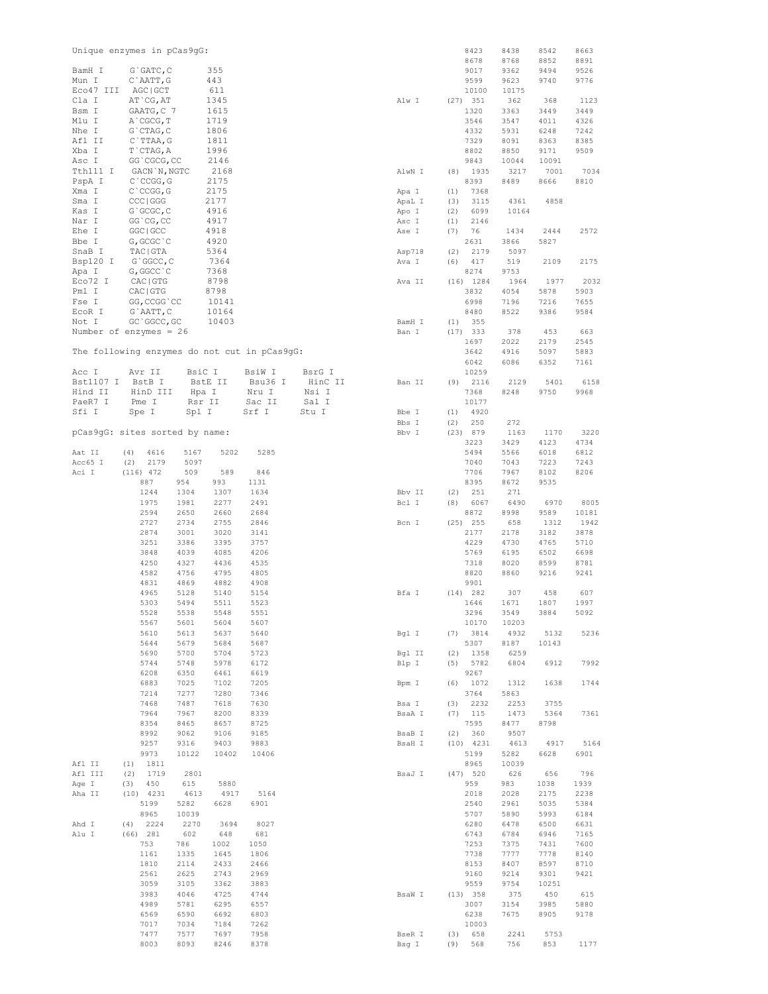|           | Unique enzymes in pCas9gG:                   |         |       |         |                   |        |      | 8423         | 8438         | 8542         | 8663         |
|-----------|----------------------------------------------|---------|-------|---------|-------------------|--------|------|--------------|--------------|--------------|--------------|
| BamH I    | G`GATC, C                                    |         | 355   |         |                   |        |      | 8678<br>9017 | 8768<br>9362 | 8852<br>9494 | 8891<br>9526 |
| Mun I     | C`AATT, G                                    |         | 443   |         |                   |        |      | 9599         | 9623         | 9740         | 9776         |
| Eco47 III | AGC   GCT                                    |         | 611   |         |                   |        |      | 10100        | 10175        |              |              |
| Cla I     | AT CG, AT                                    |         | 1345  |         |                   | Alw I  |      | $(27)$ 351   | 362          | 368          | 1123         |
| Bsm I     | GAATG, C 7                                   |         | 1615  |         |                   |        |      | 1320         | 3363         | 3449         | 3449         |
| Mlu I     | A CGCG, T                                    |         | 1719  |         |                   |        |      | 3546         | 3547         | 4011         | 4326         |
| Nhe I     | G`CTAG, C                                    |         | 1806  |         |                   |        |      | 4332         | 5931         | 6248         | 7242         |
| Afl II    | $C$ TTAA, G                                  |         | 1811  |         |                   |        |      | 7329         | 8091         | 8363         | 8385         |
| Xba I     | T`CTAG, A                                    |         | 1996  |         |                   |        |      | 8802         | 8850         | 9171         | 9509         |
| Asc I     | GG `CGCG, CC                                 |         | 2146  |         |                   |        |      | 9843         | 10044        | 10091        |              |
| Tth111 I  | GACN `N, NGTC                                |         | 2168  |         |                   | AlwN I | (8)  | 1935         | 3217         | 7001         | 7034         |
| PspA I    | C`CCGG, G                                    |         | 2175  |         |                   |        |      | 8393         | 8489         | 8666         | 8810         |
| Xma I     | C`CCGG, G                                    |         | 2175  |         |                   | Apa I  | (1)  | 7368         |              |              |              |
| Sma I     | CCC   GGG                                    |         | 2177  |         |                   | ApaL I | (3)  | 3115         | 4361         | 4858         |              |
| Kas I     | G`GCGC, C                                    |         | 4916  |         |                   | Apo I  | (2)  | 6099         | 10164        |              |              |
| Nar I     | GG CG, CC                                    |         | 4917  |         |                   | Asc I  | (1)  | 2146         |              |              |              |
| Ehe I     | GGC   GCC                                    |         | 4918  |         |                   | Ase I  | (7)  | 76           | 1434         | 2444         | 2572         |
| Bbe I     | G, GCGC `C                                   |         | 4920  |         |                   |        |      | 2631         | 3866         | 5827         |              |
| SnaB I    | TAC   GTA                                    |         | 5364  |         |                   | Asp718 | (2)  | 2179         | 5097         |              |              |
| Bsp120 I  | G`GGCC, C                                    |         | 7364  |         |                   | Ava I  | (6)  | 417          | 519          | 2109         | 2175         |
| Apa I     | G, GGCC `C                                   |         | 7368  |         |                   |        |      | 8274         | 9753         |              |              |
| Eco72 I   | CAC   GTG                                    |         | 8798  |         |                   | Ava II |      | $(16)$ 1284  | 1964         | 1977         | 2032         |
| Pml I     | CAC   GTG                                    |         | 8798  |         |                   |        |      | 3832         | 4054         | 5878         | 5903         |
| Fse I     | GG, CCGG `CC                                 |         | 10141 |         |                   |        |      | 6998         | 7196         | 7216         | 7655         |
| ECOR I    |                                              |         | 10164 |         |                   |        |      | 8480         | 8522         | 9386         | 9584         |
| Not I     | G`AATT, C<br>GC `GGCC, GC                    |         | 10403 |         |                   | BamH I | (1)  | 355          |              |              |              |
|           | Number of enzymes = $26$                     |         |       |         |                   |        | (17) | 333          | 378          | 453          | 663          |
|           |                                              |         |       |         |                   | Ban I  |      |              |              |              |              |
|           |                                              |         |       |         |                   |        |      | 1697         | 2022         | 2179         | 2545         |
|           | The following enzymes do not cut in pCas9gG: |         |       |         |                   |        |      | 3642         | 4916         | 5097         | 5883         |
|           |                                              | BsiC I  |       |         |                   |        |      | 6042         | 6086         | 6352         | 7161         |
| Acc I     | Avr II                                       |         |       | BsiW I  | BsrG I<br>HinC II |        |      | 10259        |              |              |              |
| Bst1107 I | BstB I                                       | BstE II |       | Bsu36 I |                   | Ban II | (9)  | 2116         | 2129         | 5401         | 6158         |
| Hind II   | HinD III                                     | Hpa I   |       | Nru I   | Nsi I             |        |      | 7368         | 8248         | 9750         | 9968         |
| PaeR7 I   | Pme I                                        | Rsr II  |       | Sac II  | Sal I             |        |      | 10177        |              |              |              |
| Sfi I     | Spe I                                        | Spl I   |       | Srf I   | Stu I             | Bbe I  | (1)  | 4920         |              |              |              |
|           |                                              |         |       |         |                   | Bbs I  | (2)  | 250          | 272          |              |              |
|           | pCas9gG: sites sorted by name:               |         |       |         |                   | Bbv I  |      | (23) 879     | 1163         | 1170         | 3220         |
|           |                                              |         |       |         |                   |        |      | 3223         | 3429         | 4123         | 4734         |
| Aat II    | 4616<br>(4)                                  | 5167    | 5202  | 5285    |                   |        |      | 5494         | 5566         | 6018         | 6812         |
| Acc65 I   | 2179<br>(2)                                  | 5097    |       |         |                   |        |      | 7040         | 7043         | 7223         | 7243         |
| Aci I     | $(116)$ 472                                  | 509     | 589   | 846     |                   |        |      | 7706         | 7967         | 8102         | 8206         |
|           | 887                                          | 954     | 993   | 1131    |                   |        |      | 8395         | 8672         | 9535         |              |
|           | 1244                                         | 1304    | 1307  | 1634    |                   | Bbv II | (2)  | 251          | 271          |              |              |
|           | 1975                                         | 1981    | 2277  | 2491    |                   | Bcl I  | (8)  | 6067         | 6490         | 6970         | 8005         |
|           | 2594                                         | 2650    | 2660  | 2684    |                   |        |      | 8872         | 8998         | 9589         | 10181        |
|           | 2727                                         | 2734    | 2755  | 2846    |                   | Bcn I  |      | $(25)$ 255   | 658          | 1312         | 1942         |
|           | 2874                                         | 3001    | 3020  | 3141    |                   |        |      | 2177         | 2178         | 3182         | 3878         |
|           | 3251                                         | 3386    | 3395  | 3757    |                   |        |      | 4229         | 4730         | 4765         | 5710         |
|           | 3848                                         | 4039    | 4085  | 4206    |                   |        |      | 5769         | 6195         | 6502         | 6698         |
|           | 4250                                         | 4327    | 4436  | 4535    |                   |        |      | 7318         | 8020         | 8599         | 8781         |
|           | 4582                                         | 4756    | 4795  | 4805    |                   |        |      | 8820         | 8860         | 9216         | 9241         |
|           | 4831                                         | 4869    | 4882  | 4908    |                   |        |      | 9901         |              |              |              |
|           | 4965                                         | 5128    | 5140  | 5154    |                   | Bfa I  |      | $(14)$ 282   | 307          | 458          | 607          |
|           | 5303                                         | 5494    | 5511  | 5523    |                   |        |      | 1646         | 1671         | 1807         | 1997         |
|           | 5528                                         | 5538    | 5548  | 5551    |                   |        |      | 3296         | 3549         | 3884         | 5092         |
|           | 5567                                         | 5601    | 5604  | 5607    |                   |        |      | 10170        | 10203        |              |              |
|           | 5610                                         | 5613    | 5637  | 5640    |                   | Bgl I  | (7)  | 3814         | 4932         | 5132         | 5236         |
|           | 5644                                         | 5679    | 5684  | 5687    |                   |        |      | 5307         | 8187         | 10143        |              |
|           | 5690                                         | 5700    | 5704  | 5723    |                   | Bgl II | (2)  | 1358         | 6259         |              |              |
|           | 5744                                         | 5748    | 5978  | 6172    |                   | Blp I  | (5)  | 5782         | 6804         | 6912         | 7992         |
|           | 6208                                         | 6350    | 6461  | 6619    |                   |        |      | 9267         |              |              |              |
|           | 6883                                         | 7025    | 7102  | 7205    |                   | Bpm I  |      | $(6)$ 1072   | 1312         | 1638         | 1744         |
|           | 7214                                         | 7277    | 7280  | 7346    |                   |        |      | 3764         | 5863         |              |              |
|           | 7468                                         | 7487    | 7618  | 7630    |                   | Bsa I  | (3)  | 2232         | 2253         | 3755         |              |
|           | 7964                                         | 7967    | 8200  | 8339    |                   | BsaA I | (7)  | 115          | 1473         | 5364         | 7361         |
|           | 8354                                         | 8465    | 8657  | 8725    |                   |        |      | 7595         | 8477         | 8798         |              |
|           | 8992                                         | 9062    | 9106  | 9185    |                   | BsaB I | (2)  | 360          | 9507         |              |              |
|           | 9257                                         | 9316    | 9403  | 9883    |                   | BsaH I |      | $(10)$ 4231  | 4613         | 4917         | 5164         |
|           | 9973                                         | 10122   | 10402 | 10406   |                   |        |      | 5199         | 5282         | 6628         | 6901         |
| Afl II    | 1811<br>(1)                                  |         |       |         |                   |        |      | 8965         | 10039        |              |              |
| Afl III   | 1719<br>(2)                                  | 2801    |       |         |                   | BsaJ I |      | $(47)$ 520   | 626          | 656          | 796          |
| Age I     | (3)<br>450                                   | 615     | 5880  |         |                   |        |      | 959          | 983          | 1038         | 1939         |
| Aha II    | $(10)$ 4231                                  | 4613    | 4917  | 5164    |                   |        |      | 2018         | 2028         | 2175         | 2238         |
|           | 5199                                         | 5282    | 6628  | 6901    |                   |        |      | 2540         | 2961         | 5035         | 5384         |
|           | 8965                                         | 10039   |       |         |                   |        |      | 5707         | 5890         | 5993         | 6184         |
| Ahd I     | 2224<br>(4)                                  | 2270    | 3694  | 8027    |                   |        |      | 6280         | 6478         | 6500         | 6631         |
| Alu I     | $(66)$ 281                                   | 602     | 648   | 681     |                   |        |      | 6743         | 6784         | 6946         | 7165         |
|           | 753                                          | 786     | 1002  | 1050    |                   |        |      | 7253         | 7375         | 7431         | 7600         |
|           | 1161                                         | 1335    | 1645  | 1806    |                   |        |      | 7738         | 7777         | 7778         | 8140         |
|           | 1810                                         | 2114    | 2433  | 2466    |                   |        |      | 8153         | 8407         | 8597         | 8710         |
|           | 2561                                         | 2625    | 2743  | 2969    |                   |        |      | 9160         | 9214         | 9301         | 9421         |
|           | 3059                                         | 3105    | 3362  | 3883    |                   |        |      | 9559         | 9754         | 10251        |              |
|           | 3983                                         | 4046    | 4725  | 4744    |                   | BsaW I |      | (13) 358     | 375          | 450          | 615          |
|           | 4989                                         | 5781    | 6295  | 6557    |                   |        |      | 3007         | 3154         | 3985         | 5880         |
|           | 6569                                         | 6590    | 6692  | 6803    |                   |        |      | 6238         | 7675         | 8905         | 9178         |
|           | 7017                                         | 7034    | 7184  | 7262    |                   |        |      | 10003        |              |              |              |
|           | 7477                                         | 7577    | 7697  | 7958    |                   | BseR I | (3)  | 658          | 2241         | 5753         |              |
|           | 8003                                         | 8093    | 8246  | 8378    |                   | Bsg I  | (9)  | 568          | 756          | 853          | 1177         |
|           |                                              |         |       |         |                   |        |      |              |              |              |              |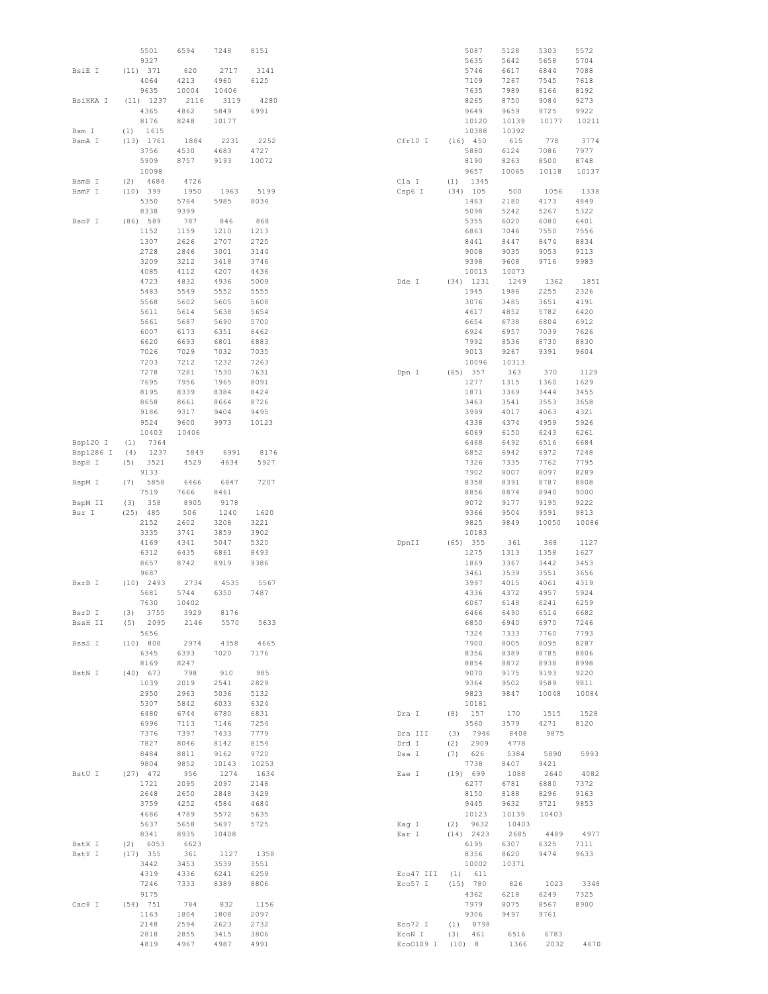|           | 5501         | 6594         | 7248         | 8151         |           |     | 5087                | 5128         | 5303         | 5572  |
|-----------|--------------|--------------|--------------|--------------|-----------|-----|---------------------|--------------|--------------|-------|
|           | 9327         |              |              |              |           |     | 5635                | 5642         | 5658         | 5704  |
| BsiE I    | (11) 371     | 620          | 2717         | 3141         |           |     | 5746                | 6617         | 6844         | 7088  |
|           | 4064         | 4213         | 4960         | 6125         |           |     | 7109                | 7267         | 7545         | 7618  |
|           | 9635         | 10004        | 10406        |              |           |     | 7635                | 7989         | 8166         | 8192  |
| BsiHKA I  | $(11)$ 1237  | 2116         | 3119         | 4280         |           |     | 8265                | 8750         | 9084         | 9273  |
|           | 4365         | 4862         | 5849         | 6991         |           |     | 9649                | 9659         | 9725         | 9922  |
|           | 8176         | 8248         | 10177        |              |           |     | 10120               | 10139        | 10177        | 10211 |
| Bsm I     | 1615<br>(1)  |              |              |              |           |     | 10388               | 10392        |              |       |
| BsmA I    | (13) 1761    | 1884         | 2231         | 2252         | Cfr10 I   |     | $(16)$ 450          | 615          | 778          | 3774  |
|           | 3756         | 4530         | 4683         | 4727         |           |     | 5880                | 6124         | 7086         | 7977  |
|           | 5909         | 8757         | 9193         | 10072        |           |     | 8190                | 8263         | 8500         | 8748  |
|           | 10098        |              |              |              |           |     | 9657                | 10065        | 10118        | 10137 |
| BsmB I    | (2)<br>4684  | 4726         |              |              | Cla I     | (1) | 1345                |              |              |       |
| BsmF I    | $(10)$ 399   | 1950         | 1963         | 5199         | Csp6 I    |     | $(34)$ 105          | 500          | 1056         | 1338  |
|           | 5350         | 5764         | 5985         | 8034         |           |     | 1463                | 2180         | 4173         | 4849  |
|           | 8338         | 9399         |              |              |           |     | 5098                | 5242         | 5267         | 5322  |
|           | (86) 589     | 787          |              |              |           |     |                     |              |              |       |
| BsoF I    |              |              | 846          | 868          |           |     | 5355                | 6020         | 6080         | 6401  |
|           | 1152         | 1159         | 1210         | 1213         |           |     | 6863                | 7046         | 7550         | 7556  |
|           | 1307         | 2626         | 2707         | 2725         |           |     | 8441                | 8447         | 8474         | 8834  |
|           | 2728         | 2846         | 3001         | 3144         |           |     | 9008                | 9035         | 9053         | 9113  |
|           | 3209         | 3212         | 3418         | 3746         |           |     | 9398                | 9608         | 9716         | 9983  |
|           | 4085         | 4112         | 4207         | 4436         |           |     | 10013               | 10073        |              |       |
|           | 4723         | 4832         | 4936         | 5009         | Dde I     |     | $(34)$ 1231         | 1249         | 1362         | 1851  |
|           | 5483         | 5549         | 5552         | 5555         |           |     | 1945                | 1986         | 2255         | 2326  |
|           | 5568         | 5602         | 5605         | 5608         |           |     | 3076                | 3485         | 3651         | 4191  |
|           | 5611         | 5614         | 5638         | 5654         |           |     | 4617                | 4852         | 5782         | 6420  |
|           | 5661         | 5687         | 5690         | 5700         |           |     | 6654                | 6738         | 6804         | 6912  |
|           | 6007         | 6173         | 6351         | 6462         |           |     | 6924                | 6957         | 7039         | 7626  |
|           | 6620         | 6693         | 6801         | 6883         |           |     | 7992                | 8536         | 8730         | 8830  |
|           | 7026         | 7029         | 7032         | 7035         |           |     | 9013                | 9267         | 9391         | 9604  |
|           | 7203         | 7212         | 7232         | 7263         |           |     | 10096               | 10313        |              |       |
|           | 7278         | 7281         | 7530         | 7631         | Dpn I     |     | (65) 357            | 363          | 370          | 1129  |
|           | 7695         | 7956         | 7965         | 8091         |           |     | 1277                | 1315         | 1360         | 1629  |
|           | 8195         | 8339         | 8384         | 8424         |           |     | 1871                | 3369         | 3444         | 3455  |
|           |              |              |              |              |           |     |                     |              |              |       |
|           | 8658         | 8661         | 8664         | 8726         |           |     | 3463                | 3541         | 3553         | 3658  |
|           | 9186         | 9317         | 9404         | 9495         |           |     | 3999                | 4017         | 4063         | 4321  |
|           | 9524         | 9600         | 9973         | 10123        |           |     | 4338                | 4374         | 4959         | 5926  |
|           | 10403        | 10406        |              |              |           |     | 6069                | 6150         | 6243         | 6261  |
| Bsp120 I  | 7364<br>(1)  |              |              |              |           |     | 6468                | 6492         | 6516         | 6684  |
| Bsp1286 I | (4)<br>1237  | 5849         | 6991         | 8176         |           |     | 6852                | 6942         | 6972         | 7248  |
| BspH I    | (5)<br>3521  | 4529         | 4634         | 5927         |           |     | 7326                | 7335         | 7762         | 7795  |
|           | 9133         |              |              |              |           |     | 7902                | 8007         | 8097         | 8289  |
| BspM I    | 5858<br>(7)  | 6466         | 6847         | 7207         |           |     | 8358                | 8391         | 8787         | 8808  |
|           | 7519         | 7666         | 8461         |              |           |     | 8856                | 8874         | 8940         | 9000  |
| BspM II   | 358<br>(3)   | 8905         | 9178         |              |           |     | 9072                | 9177         | 9195         | 9222  |
| Bsr I     | $(25)$ 485   | 506          | 1240         | 1620         |           |     | 9366                | 9504         | 9591         | 9813  |
|           | 2152         | 2602         | 3208         | 3221         |           |     | 9825                | 9849         | 10050        | 10086 |
|           | 3335         | 3741         | 3859         | 3902         |           |     | 10183               |              |              |       |
|           | 4169         | 4341         | 5047         | 5320         | DpnII     |     | $(65)$ 355          | 361          | 368          | 1127  |
|           | 6312         | 6435         | 6861         | 8493         |           |     | 1275                | 1313         | 1358         | 1627  |
|           | 8657         | 8742         | 8919         | 9386         |           |     | 1869                | 3367         | 3442         | 3453  |
|           |              |              |              |              |           |     |                     |              |              |       |
|           | 9687         |              |              |              |           |     | 3461                | 3539         | 3551         | 3656  |
| BsrB I    | $(10)$ 2493  | 2734         | 4535         | 5567         |           |     | 3997                | 4015         | 4061         | 4319  |
|           | 5681         | 5744         | 6350         | 7487         |           |     | 4336                | 4372         | 4957         | 5924  |
|           | 7630         | 10402        |              |              |           |     | 6067                | 6148         | 6241         | 6259  |
| BsrD I    | $(3)$ 3755   | 3929         | 8176         |              |           |     | 6466                | 6490         | 6514         | 6682  |
| BssH II   | $(5)$ 2095   | 2146         | 5570         | 5633         |           |     | 6850                | 6940         | 6970         | 7246  |
|           | 5656         |              |              |              |           |     | 7324                | 7333         | 7760         | 7793  |
| BssS I    | (10) 808     | 2974         | 4358         | 4665         |           |     | 7900                | 8005         | 8095         | 8287  |
|           | 6345         | 6393         | 7020         | 7176         |           |     | 8356                | 8389         | 8785         | 8806  |
|           | 8169         | 8247         |              |              |           |     | 8854                | 8872         | 8938         | 8998  |
| BstN I    | $(40)$ 673   | 798          | 910          | 985          |           |     | 9070                | 9175         | 9193         | 9220  |
|           | 1039         | 2019         | 2541         | 2829         |           |     | 9364                | 9502         | 9589         | 9811  |
|           | 2950         | 2963         | 5036         | 5132         |           |     | 9823                | 9847         | 10048        | 10084 |
|           | 5307         | 5842         | 6033         | 6324         |           |     | 10181               |              |              |       |
|           | 6480         | 6744         | 6780         | 6831         | Dra I     |     | $(8)$ 157           | 170          | 1515         | 1528  |
|           | 6996         | 7113         | 7146         | 7254         |           |     | 3560                | 3579         | 4271         | 8120  |
|           | 7376         | 7397         | 7433         | 7779         | Dra III   |     | $(3)$ 7946          | 8408         | 9875         |       |
|           | 7827         | 8046         | 8142         | 8154         | Drd I     |     | $(2)$ 2909          | 4778         |              |       |
|           | 8484         | 8811         | 9162         | 9720         | Dsa I     |     | (7) 626             | 5384         | 5890         | 5993  |
|           | 9804         | 9852         | 10143        | 10253        |           |     | 7738                | 8407         | 9421         |       |
| BstU I    | $(27)$ 472   | 956          | 1274         | 1634         | Eae I     |     | (19) 699            | 1088         | 2640         | 4082  |
|           |              |              |              |              |           |     |                     |              |              |       |
|           | 1721         | 2095         | 2097         | 2148         |           |     | 6277                | 6781         | 6880         | 7372  |
|           | 2648         | 2650         | 2848         | 3429         |           |     | 8150                | 8188         | 8296         | 9163  |
|           | 3759         | 4252         | 4584         | 4684         |           |     | 9445                | 9632         | 9721         | 9853  |
|           | 4686         | 4789         | 5572         | 5635         |           |     | 10123               | 10139        | 10403        |       |
|           | 5637         | 5658         | 5697         | 5725         | Eag I     |     | $(2)$ 9632          | 10403        |              |       |
|           | 8341         | 8935         | 10408        |              | Ear I     |     | $(14)$ 2423         | 2685         | 4489         | 4977  |
| BstX I    | (2) 6053     | 6623         |              |              |           |     | 6195                | 6307         | 6325         | 7111  |
| BstY I    | $(17)$ 355   | 361          | 1127         | 1358         |           |     | 8356                | 8620         | 9474         | 9633  |
|           | 3442         | 3453         | 3539         | 3551         |           |     | 10002               | 10371        |              |       |
|           | 4319         | 4336         | 6241         | 6259         | Eco47 III |     | (1) 611             |              |              |       |
|           | 7246         | 7333         | 8389         | 8806         | Eco57 I   |     | (15) 780            | 826          | 1023         | 3348  |
|           | 9175         |              |              |              |           |     | 4362                | 6218         | 6249         | 7325  |
| Cac8 I    | $(54)$ 751   | 784          | 832          | 1156         |           |     | 7979                | 8075         | 8567         | 8900  |
|           | 1163         | 1804         | 1808         | 2097         |           |     | 9306                | 9497         | 9761         |       |
|           | 2148         | 2594         | 2623         | 2732         | Eco72 I   |     | $(1)$ 8798          |              |              |       |
|           |              |              |              |              |           |     |                     |              |              |       |
|           | 2818<br>4819 | 2855<br>4967 | 3415<br>4987 | 3806<br>4991 | ECON I    |     | (3) 461<br>$(10)$ 8 | 6516<br>1366 | 6783<br>2032 | 4670  |
|           |              |              |              |              | Eco0109 I |     |                     |              |              |       |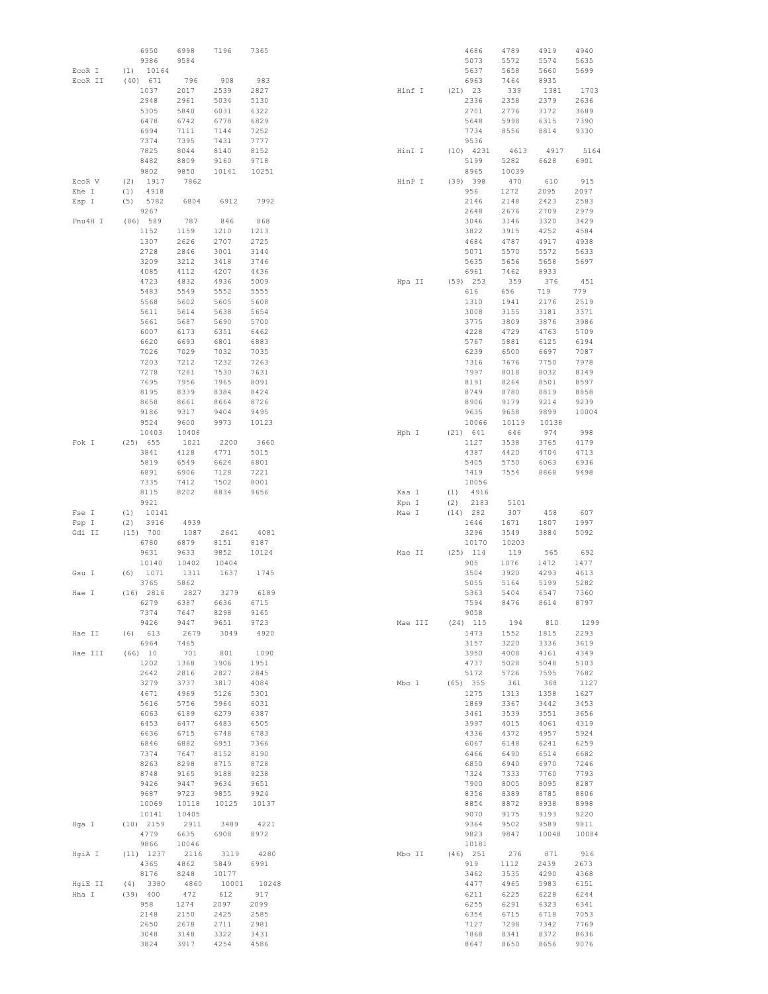|                  | 6950<br>9386              | 6998<br>9584  | 7196          | 7365         |        |         |            | 4686<br>5073      | 4789<br>5572 | 4919<br>5574 | 4940<br>5635 |
|------------------|---------------------------|---------------|---------------|--------------|--------|---------|------------|-------------------|--------------|--------------|--------------|
| EcoR I           | 10164<br>(1)              |               |               |              |        |         |            | 5637              | 5658         | 5660         | 5699         |
| ECOR II          | (40) 671                  | 796           | 908           | 983          |        |         |            | 6963              | 7464         | 8935         |              |
|                  | 1037                      | 2017          | 2539          | 2827         | Hinf I |         | $(21)$ 23  |                   | 339          | 1381         | 1703         |
|                  | 2948<br>5305              | 2961<br>5840  | 5034<br>6031  | 5130<br>6322 |        |         |            | 2336<br>2701      | 2358<br>2776 | 2379<br>3172 | 2636<br>3689 |
|                  | 6478                      | 6742          | 6778          | 6829         |        |         |            | 5648              | 5998         | 6315         | 7390         |
|                  | 6994                      | 7111          | 7144          | 7252         |        |         |            | 7734              | 8556         | 8814         | 9330         |
|                  | 7374                      | 7395          | 7431          | 7777         |        |         |            | 9536              |              |              |              |
|                  | 7825                      | 8044          | 8140          | 8152         | HinI I |         |            | $(10)$ 4231       | 4613         | 4917         | 5164         |
|                  | 8482                      | 8809          | 9160          | 9718         |        |         |            | 5199              | 5282         | 6628         | 6901         |
|                  | 9802                      | 9850          | 10141         | 10251        |        |         |            | 8965              | 10039        |              |              |
| EcoR V           | (2)<br>1917               | 7862          |               |              | HinP I |         |            | (39) 398          | 470          | 610          | 915          |
| Ehe I            | 4918<br>(1)               |               |               |              |        |         |            | 956               | 1272         | 2095         | 2097         |
| Esp I            | (5)<br>5782               | 6804          | 6912          | 7992         |        |         |            | 2146              | 2148         | 2423         | 2583         |
|                  | 9267<br>(86) 589          |               |               |              |        |         |            | 2648              | 2676         | 2709         | 2979         |
| Fnu4H I          | 1152                      | 787<br>1159   | 846<br>1210   | 868<br>1213  |        |         |            | 3046<br>3822      | 3146<br>3915 | 3320<br>4252 | 3429<br>4584 |
|                  | 1307                      | 2626          | 2707          | 2725         |        |         |            | 4684              | 4787         | 4917         | 4938         |
|                  | 2728                      | 2846          | 3001          | 3144         |        |         |            | 5071              | 5570         | 5572         | 5633         |
|                  | 3209                      | 3212          | 3418          | 3746         |        |         |            | 5635              | 5656         | 5658         | 5697         |
|                  | 4085                      | 4112          | 4207          | 4436         |        |         |            | 6961              | 7462         | 8933         |              |
|                  | 4723                      | 4832          | 4936          | 5009         | Hpa II |         |            | $(59)$ 253        | 359          | 376          | 451          |
|                  | 5483                      | 5549          | 5552          | 5555         |        |         |            | 616               | 656          | 719          | 779          |
|                  | 5568                      | 5602          | 5605          | 5608         |        |         |            | 1310              | 1941         | 2176         | 2519         |
|                  | 5611                      | 5614          | 5638          | 5654         |        |         |            | 3008              | 3155         | 3181         | 3371         |
|                  | 5661<br>6007              | 5687          | 5690          | 5700<br>6462 |        |         |            | 3775              | 3809         | 3876<br>4763 | 3986<br>5709 |
|                  | 6620                      | 6173<br>6693  | 6351<br>6801  | 6883         |        |         |            | 4228<br>5767      | 4729<br>5881 | 6125         | 6194         |
|                  | 7026                      | 7029          | 7032          | 7035         |        |         |            | 6239              | 6500         | 6697         | 7087         |
|                  | 7203                      | 7212          | 7232          | 7263         |        |         |            | 7316              | 7676         | 7750         | 7978         |
|                  | 7278                      | 7281          | 7530          | 7631         |        |         |            | 7997              | 8018         | 8032         | 8149         |
|                  | 7695                      | 7956          | 7965          | 8091         |        |         |            | 8191              | 8264         | 8501         | 8597         |
|                  | 8195                      | 8339          | 8384          | 8424         |        |         |            | 8749              | 8780         | 8819         | 8858         |
|                  | 8658                      | 8661          | 8664          | 8726         |        |         |            | 8906              | 9179         | 9214         | 9239         |
|                  | 9186                      | 9317          | 9404          | 9495         |        |         |            | 9635              | 9658         | 9899         | 10004        |
|                  | 9524                      | 9600          | 9973          | 10123        |        |         |            | 10066             | 10119        | 10138        |              |
|                  | 10403                     | 10406         |               |              | Hph I  |         | (21) 641   |                   | 646          | 974          | 998          |
| Fok I            | $(25)$ 655                | 1021          | 2200          | 3660         |        |         |            | 1127              | 3538         | 3765         | 4179         |
|                  | 3841<br>5819              | 4128<br>6549  | 4771<br>6624  | 5015<br>6801 |        |         |            | 4387<br>5405      | 4420<br>5750 | 4704<br>6063 | 4713<br>6936 |
|                  | 6891                      | 6906          | 7128          | 7221         |        |         |            | 7419              | 7554         | 8868         | 9498         |
|                  | 7335                      | 7412          | 7502          | 8001         |        |         |            | 10056             |              |              |              |
|                  | 8115                      | 8202          | 8834          | 9656         | Kas I  |         | (1)        | 4916              |              |              |              |
|                  | 9921                      |               |               |              | Kpn I  |         | (2)        | 2183              | 5101         |              |              |
| Fse I            | 10141<br>(1)              |               |               |              | Mae I  |         | (14)       | 282               | 307          | 458          | 607          |
| Fsp I            | (2)<br>3916               | 4939          |               |              |        |         |            | 1646              | 1671         | 1807         | 1997         |
| Gdi II           | (15) 700                  | 1087          | 2641          | 4081         |        |         |            | 3296              | 3549         | 3884         | 5092         |
|                  | 6780                      | 6879          | 8151          | 8187         |        |         |            | 10170             | 10203        |              |              |
|                  | 9631<br>10140             | 9633<br>10402 | 9852<br>10404 | 10124        | Mae II |         |            | $(25)$ 114<br>905 | 119<br>1076  | 565<br>1472  | 692<br>1477  |
| Gsu I            | 1071<br>(6)               | 1311          | 1637          | 1745         |        |         |            | 3504              | 3920         | 4293         | 4613         |
|                  | 3765                      | 5862          |               |              |        |         |            | 5055              | 5164         | 5199         | 5282         |
| Hae I            | $(16)$ 2816               | 2827          | 3279          | 6189         |        |         |            | 5363              | 5404         | 6547         | 7360         |
|                  | 6279                      | 6387          | 6636          | 6715         |        |         |            | 7594              | 8476         | 8614         | 8797         |
|                  | 7374                      | 7647          | 8298          | 9165         |        |         |            | 9058              |              |              |              |
|                  | 9426                      | 9447          | 9651          | 9723         |        | Mae III |            | $(24)$ 115        | 194          | 810          | 1299         |
| Hae II           | (6) 613                   | 2679          | 3049          | 4920         |        |         |            | 1473              | 1552         | 1815         | 2293         |
|                  | 6964                      | 7465          |               |              |        |         |            | 3157              | 3220         | 3336         | 3619         |
| Hae III          | (66) 10                   | 701           | 801           | 1090         |        |         |            | 3950              | 4008         | 4161         | 4349         |
|                  | 1202<br>2642              | 1368<br>2816  | 1906<br>2827  | 1951<br>2845 |        |         |            | 4737<br>5172      | 5028<br>5726 | 5048<br>7595 | 5103<br>7682 |
|                  | 3279                      | 3737          | 3817          | 4084         | Mbo I  |         | $(65)$ 355 |                   | 361          | 368          | 1127         |
|                  | 4671                      | 4969          | 5126          | 5301         |        |         |            | 1275              | 1313         | 1358         | 1627         |
|                  | 5616                      | 5756          | 5964          | 6031         |        |         |            | 1869              | 3367         | 3442         | 3453         |
|                  | 6063                      | 6189          | 6279          | 6387         |        |         |            | 3461              | 3539         | 3551         | 3656         |
|                  | 6453                      | 6477          | 6483          | 6505         |        |         |            | 3997              | 4015         | 4061         | 4319         |
|                  | 6636                      | 6715          | 6748          | 6783         |        |         |            | 4336              | 4372         | 4957         | 5924         |
|                  | 6846                      | 6882          | 6951          | 7366         |        |         |            | 6067              | 6148         | 6241         | 6259         |
|                  | 7374                      | 7647          | 8152          | 8190         |        |         |            | 6466              | 6490         | 6514         | 6682         |
|                  | 8263                      | 8298          | 8715          | 8728         |        |         |            | 6850              | 6940         | 6970         | 7246         |
|                  | 8748<br>9426              | 9165<br>9447  | 9188          | 9238<br>9651 |        |         |            | 7324<br>7900      | 7333<br>8005 | 7760<br>8095 | 7793<br>8287 |
|                  | 9687                      | 9723          | 9634<br>9855  | 9924         |        |         |            | 8356              | 8389         | 8785         | 8806         |
|                  | 10069                     | 10118         | 10125         | 10137        |        |         |            | 8854              | 8872         | 8938         | 8998         |
|                  | 10141                     | 10405         |               |              |        |         |            | 9070              | 9175         | 9193         | 9220         |
| Hga I            | $(10)$ 2159               | 2911          | 3489          | 4221         |        |         |            | 9364              | 9502         | 9589         | 9811         |
|                  | 4779                      | 6635          | 6908          | 8972         |        |         |            | 9823              | 9847         | 10048        | 10084        |
|                  | 9866                      | 10046         |               |              |        |         |            | 10181             |              |              |              |
| HgiA I           | $(11)$ 1237               | 2116          | 3119          | 4280         | Mbo II |         |            | $(46)$ 251        | 276          | 871          | 916          |
|                  | 4365                      | 4862          | 5849          | 6991         |        |         |            | 919               | 1112         | 2439         | 2673         |
|                  | 8176                      | 8248          | 10177         |              |        |         |            | 3462              | 3535         | 4290         | 4368         |
| HgiE II<br>Hha I | 3380<br>(4)<br>$(39)$ 400 | 4860<br>472   | 10001<br>612  | 10248<br>917 |        |         |            | 4477<br>6211      | 4965<br>6225 | 5983<br>6228 | 6151<br>6244 |
|                  | 958                       | 1274          | 2097          | 2099         |        |         |            | 6255              | 6291         | 6323         | 6341         |
|                  | 2148                      | 2150          | 2425          | 2585         |        |         |            | 6354              | 6715         | 6718         | 7053         |
|                  | 2650                      | 2678          | 2711          | 2981         |        |         |            | 7127              | 7298         | 7342         | 7769         |
|                  | 3048                      | 3148          | 3322          | 3431         |        |         |            | 7868              | 8341         | 8372         | 8636         |
|                  | 3824                      | 3917          | 4254          | 4586         |        |         |            | 8647              | 8650         | 8656         | 9076         |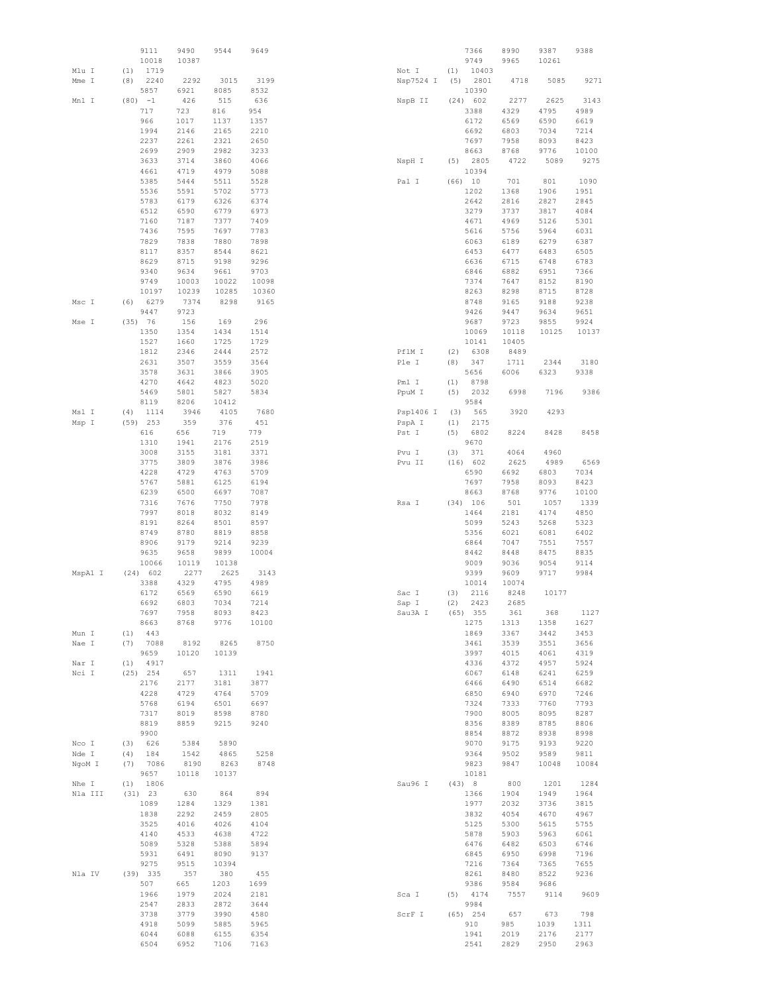|         |            | 9111<br>10018 | 9490<br>10387 | 9544         | 9649         |           |     | 7366<br>9749 | 8990<br>9965 | 9387<br>10261 | 9388         |
|---------|------------|---------------|---------------|--------------|--------------|-----------|-----|--------------|--------------|---------------|--------------|
| Mlu I   | (1)        | 1719          |               |              |              | Not I     | (1) | 10403        |              |               |              |
| Mme I   | (8)        | 2240          | 2292          | 3015         | 3199         | Nsp7524 I | (5) | 2801         | 4718         | 5085          | 9271         |
|         |            | 5857          | 6921          | 8085         | 8532         |           |     | 10390        |              |               |              |
| Mnl I   | $(80) -1$  |               | 426           | 515          | 636          | NspB II   |     | (24) 602     | 2277         | 2625          | 3143         |
|         |            | 717           | 723           | 816          | 954          |           |     | 3388         | 4329         | 4795          | 4989         |
|         |            | 966           | 1017          | 1137         | 1357         |           |     | 6172         | 6569         | 6590          | 6619         |
|         |            | 1994          | 2146          | 2165         | 2210         |           |     | 6692         | 6803         | 7034          | 7214         |
|         |            | 2237          | 2261          | 2321         | 2650         |           |     | 7697         | 7958         | 8093          | 8423         |
|         |            | 2699          | 2909          | 2982         | 3233         |           |     | 8663         | 8768         | 9776          | 10100        |
|         |            | 3633          | 3714          | 3860         | 4066         | NspH I    | (5) | 2805         | 4722         | 5089          | 9275         |
|         |            | 4661          | 4719          | 4979         | 5088         |           |     | 10394        |              |               |              |
|         |            | 5385          | 5444          | 5511         | 5528         | Pal I     |     | (66) 10      | 701          | 801           | 1090         |
|         |            | 5536          | 5591          | 5702         | 5773         |           |     | 1202         | 1368         | 1906          | 1951         |
|         |            | 5783          | 6179          | 6326         | 6374         |           |     | 2642         | 2816         | 2827          | 2845         |
|         |            | 6512          | 6590          | 6779         | 6973         |           |     | 3279         | 3737         | 3817          | 4084         |
|         |            | 7160          | 7187          | 7377         | 7409         |           |     | 4671         | 4969         | 5126          | 5301         |
|         |            | 7436          | 7595          | 7697         | 7783         |           |     | 5616         | 5756         | 5964          | 6031         |
|         |            | 7829          | 7838          | 7880         | 7898         |           |     | 6063         | 6189         | 6279          | 6387         |
|         |            | 8117          | 8357          | 8544         | 8621         |           |     | 6453         | 6477         | 6483          | 6505         |
|         |            | 8629          | 8715          | 9198         | 9296         |           |     | 6636         | 6715         | 6748          | 6783         |
|         |            | 9340          | 9634          | 9661         | 9703         |           |     | 6846         | 6882         | 6951          | 7366         |
|         |            | 9749          | 10003         | 10022        | 10098        |           |     | 7374         | 7647         | 8152          | 8190         |
|         |            | 10197         | 10239         | 10285        | 10360        |           |     | 8263         | 8298         | 8715          | 8728         |
| Msc I   | (6)        | 6279          | 7374          | 8298         | 9165         |           |     | 8748         | 9165         | 9188          | 9238         |
|         |            | 9447          | 9723          |              |              |           |     | 9426         | 9447         | 9634          | 9651         |
| Mse I   | (35) 76    |               | 156           | 169          | 296          |           |     | 9687         | 9723         | 9855          | 9924         |
|         |            | 1350          | 1354          | 1434         | 1514         |           |     | 10069        | 10118        | 10125         | 10137        |
|         |            | 1527          | 1660          | 1725         | 1729         |           |     | 10141        | 10405        |               |              |
|         |            | 1812          | 2346          | 2444         | 2572         | PflM I    | (2) | 6308         | 8489         |               |              |
|         |            | 2631          | 3507          | 3559         | 3564         | Ple I     | (8) | 347          | 1711         | 2344          | 3180         |
|         |            | 3578          | 3631          | 3866         | 3905         |           |     | 5656         | 6006         | 6323          | 9338         |
|         |            | 4270          | 4642          | 4823         | 5020         | Pml I     | (1) | 8798         |              |               |              |
|         |            | 5469          | 5801          | 5827         | 5834         | PpuM I    | (5) | 2032         | 6998         | 7196          | 9386         |
|         |            | 8119          | 8206          | 10412        |              |           |     | 9584         |              |               |              |
| Msl I   | (4)        | 1114          | 3946          | 4105         | 7680         | Psp1406 I | (3) | 565          | 3920         | 4293          |              |
| Msp I   | $(59)$ 253 |               | 359           | 376          | 451          | PspA I    | (1) | 2175         |              |               |              |
|         |            | 616           | 656           | 719          | 779          | Pst I     | (5) | 6802         | 8224         | 8428          | 8458         |
|         |            | 1310          | 1941          | 2176         | 2519         |           |     | 9670         |              |               |              |
|         |            | 3008          | 3155          | 3181         | 3371         | Pvu I     | (3) | 371          | 4064         | 4960          |              |
|         |            | 3775          | 3809          | 3876         | 3986         | Pvu II    |     | (16) 602     | 2625         | 4989          | 6569         |
|         |            | 4228          | 4729          | 4763         | 5709         |           |     | 6590         | 6692         | 6803          | 7034         |
|         |            | 5767          | 5881          | 6125         | 6194         |           |     | 7697         | 7958         | 8093          | 8423         |
|         |            | 6239          | 6500          | 6697         | 7087         |           |     | 8663         | 8768         | 9776          | 10100        |
|         |            | 7316          | 7676          | 7750         | 7978         | Rsa I     |     | $(34)$ 106   | 501          | 1057          | 1339         |
|         |            | 7997          | 8018          | 8032         | 8149         |           |     | 1464         | 2181         | 4174          | 4850         |
|         |            | 8191          | 8264          | 8501<br>8819 | 8597         |           |     | 5099         | 5243<br>6021 | 5268          | 5323         |
|         |            | 8749<br>8906  | 8780<br>9179  | 9214         | 8858<br>9239 |           |     | 5356<br>6864 | 7047         | 6081          | 6402<br>7557 |
|         |            | 9635          | 9658          | 9899         | 10004        |           |     | 8442         | 8448         | 7551<br>8475  | 8835         |
|         |            | 10066         | 10119         | 10138        |              |           |     | 9009         | 9036         | 9054          | 9114         |
| MspA1 I |            | (24) 602      | 2277          | 2625         | 3143         |           |     | 9399         | 9609         | 9717          | 9984         |
|         |            | 3388          | 4329          | 4795         | 4989         |           |     | 10014        | 10074        |               |              |
|         |            | 6172          | 6569          | 6590         | 6619         | Sac I     | (3) | 2116         | 8248         | 10177         |              |
|         |            | 6692          | 6803          | 7034         | 7214         | Sap I     | (2) | 2423         | 2685         |               |              |
|         |            | 7697          | 7958          | 8093         | 8423         | Sau3A I   |     | $(65)$ 355   | 361          | 368           | 1127         |
|         |            | 8663          | 8768          | 9776         | 10100        |           |     | 1275         | 1313         | 1358          | 1627         |
| Mun I   | (1)        | 443           |               |              |              |           |     | 1869         | 3367         | 3442          | 3453         |
| Nae I   | (7)        | 7088          | 8192          | 8265         | 8750         |           |     | 3461         | 3539         | 3551          | 3656         |
|         |            | 9659          | 10120         | 10139        |              |           |     | 3997         | 4015         | 4061          | 4319         |
| Nar I   | (1)        | 4917          |               |              |              |           |     | 4336         | 4372         | 4957          | 5924         |
| Nci I   | $(25)$ 254 |               | 657           | 1311         | 1941         |           |     | 6067         | 6148         | 6241          | 6259         |
|         |            | 2176          | 2177          | 3181         | 3877         |           |     | 6466         | 6490         | 6514          | 6682         |
|         |            | 4228          | 4729          | 4764         | 5709         |           |     | 6850         | 6940         | 6970          | 7246         |
|         |            | 5768          | 6194          | 6501         | 6697         |           |     | 7324         | 7333         | 7760          | 7793         |
|         |            | 7317          | 8019          | 8598         | 8780         |           |     | 7900         | 8005         | 8095          | 8287         |
|         |            | 8819          | 8859          | 9215         | 9240         |           |     | 8356         | 8389         | 8785          | 8806         |
|         |            | 9900          |               |              |              |           |     | 8854         | 8872         | 8938          | 8998         |
| Nco I   | (3)        | 626           | 5384          | 5890         |              |           |     | 9070         | 9175         | 9193          | 9220         |
| Nde I   | (4)        | 184           | 1542          | 4865         | 5258         |           |     | 9364         | 9502         | 9589          | 9811         |
| NgoM I  | (7)        | 7086          | 8190          | 8263         | 8748         |           |     | 9823         | 9847         | 10048         | 10084        |
|         |            | 9657          | 10118         | 10137        |              |           |     | 10181        |              |               |              |
| Nhe I   | (1)        | 1806          |               |              |              | Sau96 I   |     | (43) 8       | 800          | 1201          | 1284         |
| Nla III | (31) 23    |               | 630           | 864          | 894          |           |     | 1366         | 1904         | 1949          | 1964         |
|         |            | 1089          | 1284          | 1329         | 1381         |           |     | 1977         | 2032         | 3736          | 3815         |
|         |            | 1838          | 2292          | 2459         | 2805         |           |     | 3832         | 4054         | 4670          | 4967         |
|         |            | 3525          | 4016          | 4026         | 4104         |           |     | 5125         | 5300         | 5615          | 5755         |
|         |            | 4140          | 4533          | 4638         | 4722         |           |     | 5878         | 5903         | 5963          | 6061         |
|         |            | 5089          | 5328          | 5388         | 5894         |           |     | 6476         | 6482         | 6503          | 6746         |
|         |            | 5931          | 6491          | 8090         | 9137         |           |     | 6845         | 6950         | 6998          | 7196         |
|         |            | 9275          | 9515          | 10394        |              |           |     | 7216         | 7364         | 7365          | 7655         |
| Nla IV  | (39) 335   | 507           | 357<br>665    | 380<br>1203  | 455<br>1699  |           |     | 8261<br>9386 | 8480<br>9584 | 8522<br>9686  | 9236         |
|         |            | 1966          | 1979          | 2024         | 2181         | Sca I     | (5) | 4174         | 7557         | 9114          | 9609         |
|         |            | 2547          | 2833          | 2872         | 3644         |           |     | 9984         |              |               |              |
|         |            | 3738          | 3779          | 3990         | 4580         | ScrF I    |     | $(65)$ 254   | 657          | 673           | 798          |
|         |            | 4918          | 5099          | 5885         | 5965         |           |     | 910          | 985          | 1039          | 1311         |
|         |            | 6044          | 6088          | 6155         | 6354         |           |     | 1941         | 2019         | 2176          | 2177         |
|         |            | 6504          | 6952          | 7106         | 7163         |           |     | 2541         | 2829         | 2950          | 2963         |
|         |            |               |               |              |              |           |     |              |              |               |              |